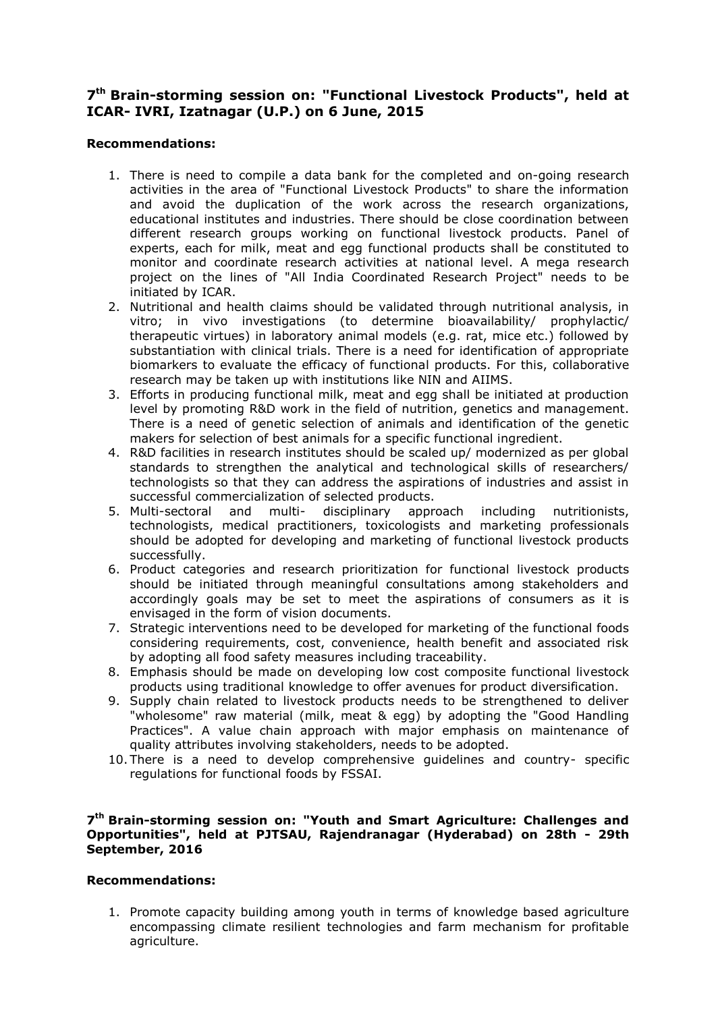## **7 th Brain-storming session on: "Functional Livestock Products", held at ICAR- IVRI, Izatnagar (U.P.) on 6 June, 2015**

## **Recommendations:**

- 1. There is need to compile a data bank for the completed and on-going research activities in the area of "Functional Livestock Products" to share the information and avoid the duplication of the work across the research organizations, educational institutes and industries. There should be close coordination between different research groups working on functional livestock products. Panel of experts, each for milk, meat and egg functional products shall be constituted to monitor and coordinate research activities at national level. A mega research project on the lines of "All India Coordinated Research Project" needs to be initiated by ICAR.
- 2. Nutritional and health claims should be validated through nutritional analysis, in vitro; in vivo investigations (to determine bioavailability/ prophylactic/ therapeutic virtues) in laboratory animal models (e.g. rat, mice etc.) followed by substantiation with clinical trials. There is a need for identification of appropriate biomarkers to evaluate the efficacy of functional products. For this, collaborative research may be taken up with institutions like NIN and AIIMS.
- 3. Efforts in producing functional milk, meat and egg shall be initiated at production level by promoting R&D work in the field of nutrition, genetics and management. There is a need of genetic selection of animals and identification of the genetic makers for selection of best animals for a specific functional ingredient.
- 4. R&D facilities in research institutes should be scaled up/ modernized as per global standards to strengthen the analytical and technological skills of researchers/ technologists so that they can address the aspirations of industries and assist in successful commercialization of selected products.
- 5. Multi-sectoral and multi- disciplinary approach including nutritionists, technologists, medical practitioners, toxicologists and marketing professionals should be adopted for developing and marketing of functional livestock products successfully.
- 6. Product categories and research prioritization for functional livestock products should be initiated through meaningful consultations among stakeholders and accordingly goals may be set to meet the aspirations of consumers as it is envisaged in the form of vision documents.
- 7. Strategic interventions need to be developed for marketing of the functional foods considering requirements, cost, convenience, health benefit and associated risk by adopting all food safety measures including traceability.
- 8. Emphasis should be made on developing low cost composite functional livestock products using traditional knowledge to offer avenues for product diversification.
- 9. Supply chain related to livestock products needs to be strengthened to deliver "wholesome" raw material (milk, meat & egg) by adopting the "Good Handling Practices". A value chain approach with major emphasis on maintenance of quality attributes involving stakeholders, needs to be adopted.
- 10. There is a need to develop comprehensive guidelines and country- specific regulations for functional foods by FSSAI.

## **7 th Brain-storming session on: "Youth and Smart Agriculture: Challenges and Opportunities", held at PJTSAU, Rajendranagar (Hyderabad) on 28th - 29th September, 2016**

## **Recommendations:**

1. Promote capacity building among youth in terms of knowledge based agriculture encompassing climate resilient technologies and farm mechanism for profitable agriculture.